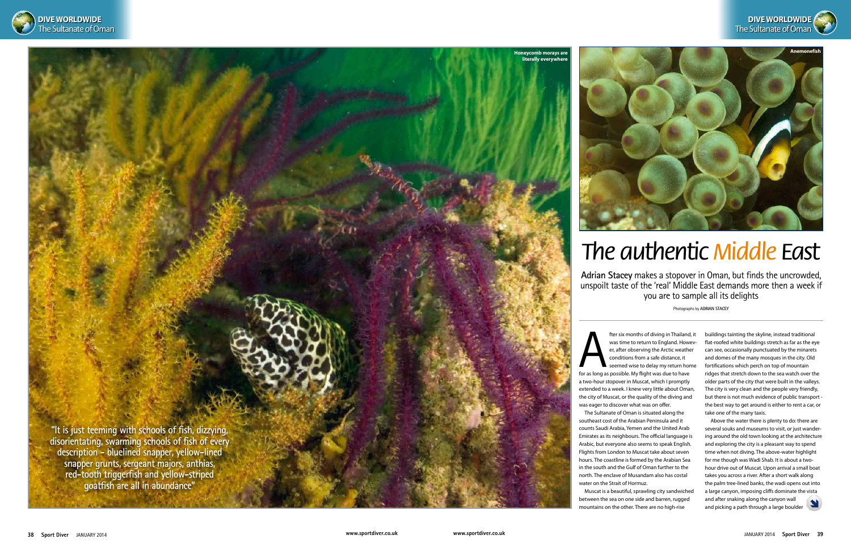

**Honeycomb morays are literally everywher** 

**Adrian Stacey** makes a stopover in Oman, but finds the uncrowded, unspoilt taste of the 'real' Middle East demands more then a week if you are to sample all its delights

Photographs by **Adrian Stacey**

fter six months of diving in Thailand<br>was time to return to England. However, after observing the Arctic weathe<br>conditions from a safe distance, it<br>seemed wise to delay my return hor<br>for as long as possible. My flight was fter six months of diving in Thailand, it was time to return to England. However, after observing the Arctic weather conditions from a safe distance, it seemed wise to delay my return home a two-hour stopover in Muscat, which I promptly

# *The authentic Middle East*

extended to a week. I knew very little about Oman, the city of Muscat, or the quality of the diving and was eager to discover what was on offer. The Sultanate of Oman is situated along the

southeast cost of the Arabian Peninsula and it counts Saudi Arabia, Yemen and the United Arab Emirates as its neighbours. The official language is Arabic, but everyone also seems to speak English. Flights from London to Muscat take about seven hours. The coastline is formed by the Arabian Sea in the south and the Gulf of Oman further to the north. The enclave of Musandam also has costal water on the Strait of Hormuz.

Muscat is a beautiful, sprawling city sandwiched between the sea on one side and barren, rugged mountains on the other. There are no high-rise

buildings tainting the skyline, instead traditional flat-roofed white buildings stretch as far as the eye can see, occasionally punctuated by the minarets and domes of the many mosques in the city. Old fortifications which perch on top of mountain ridges that stretch down to the sea watch over the older parts of the city that were built in the valleys. The city is very clean and the people very friendly, but there is not much evidence of public transport the best way to get around is either to rent a car, or take one of the many taxis.

Above the water there is plenty to do: there are several souks and museums to visit, or just wandering around the old town looking at the architecture and exploring the city is a pleasant way to spend time when not diving. The above-water highlight for me though was Wadi Shab. It is about a twohour drive out of Muscat. Upon arrival a small boat takes you across a river. After a short walk along the palm tree-lined banks, the wadi opens out into a large canyon, imposing cliffs dominate the vista and after snaking along the canyon wall and picking a path through a large boulder



**"It is just teeming with schools of fish, dizzying, disorientating, swarming schools of fish of every description - bluelined snapper, yellow-lined snapper grunts, sergeant majors, anthias, red-tooth triggerfish and yellow-striped goatfish are all in abundance"**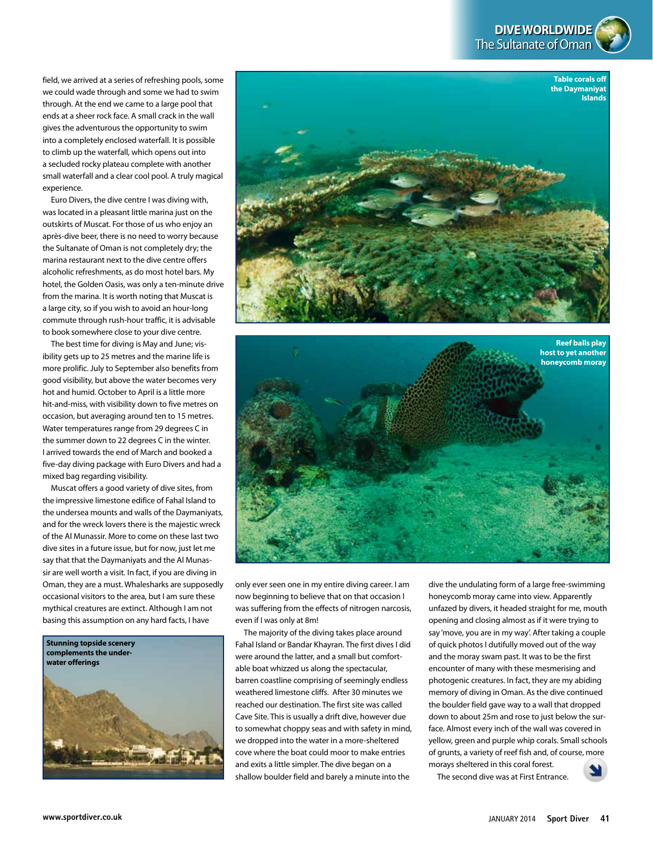**DIVE WORLDWIDE** The Sultanate of Oman

field, we arrived at a series of refreshing pools, some we could wade through and some we had to swim through. At the end we came to a large pool that ends at a sheer rock face. A small crack in the wall gives the adventurous the opportunity to swim into a completely enclosed waterfall. It is possible to climb up the waterfall, which opens out into a secluded rocky plateau complete with another small waterfall and a clear cool pool. A truly magical experience.

Euro Divers, the dive centre I was diving with, was located in a pleasant little marina just on the outskirts of Muscat. For those of us who enjoy an après-dive beer, there is no need to worry because the Sultanate of Oman is not completely dry; the marina restaurant next to the dive centre offers alcoholic refreshments, as do most hotel bars. My hotel, the Golden Oasis, was only a ten-minute drive from the marina. It is worth noting that Muscat is a large city, so if you wish to avoid an hour-long commute through rush-hour traffic, it is advisable to book somewhere close to your dive centre.

The best time for diving is May and June; visibility gets up to 25 metres and the marine life is more prolific. July to September also benefits from good visibility, but above the water becomes very hot and humid. October to April is a little more hit-and-miss, with visibility down to five metres on occasion, but averaging around ten to 15 metres. Water temperatures range from 29 degrees C in the summer down to 22 degrees C in the winter. I arrived towards the end of March and booked a five-day diving package with Euro Divers and had a mixed bag regarding visibility.

Muscat offers a good variety of dive sites, from the impressive limestone edifice of Fahal Island to the undersea mounts and walls of the Daymaniyats, and for the wreck lovers there is the majestic wreck of the Al Munassir. More to come on these last two dive sites in a future issue, but for now, just let me say that that the Daymaniyats and the Al Munassir are well worth a visit. In fact, if you are diving in Oman, they are a must. Whalesharks are supposedly occasional visitors to the area, but I am sure these mythical creatures are extinct. Although I am not basing this assumption on any hard facts, I have







only ever seen one in my entire diving career. I am now beginning to believe that on that occasion I was suffering from the effects of nitrogen narcosis, even if I was only at 8m!

The majority of the diving takes place around Fahal Island or Bandar Khayran. The first dives I did were around the latter, and a small but comfortable boat whizzed us along the spectacular, barren coastline comprising of seemingly endless weathered limestone cliffs. After 30 minutes we reached our destination. The first site was called Cave Site. This is usually a drift dive, however due to somewhat choppy seas and with safety in mind, we dropped into the water in a more-sheltered cove where the boat could moor to make entries and exits a little simpler. The dive began on a shallow boulder field and barely a minute into the

dive the undulating form of a large free-swimming honeycomb moray came into view. Apparently unfazed by divers, it headed straight for me, mouth opening and closing almost as if it were trying to say 'move, you are in my way'. After taking a couple of quick photos I dutifully moved out of the way and the moray swam past. It was to be the first encounter of many with these mesmerising and photogenic creatures. In fact, they are my abiding memory of diving in Oman. As the dive continued the boulder field gave way to a wall that dropped down to about 25m and rose to just below the surface. Almost every inch of the wall was covered in yellow, green and purple whip corals. Small schools of grunts, a variety of reef fish and, of course, more morays sheltered in this coral forest.

The second dive was at First Entrance.